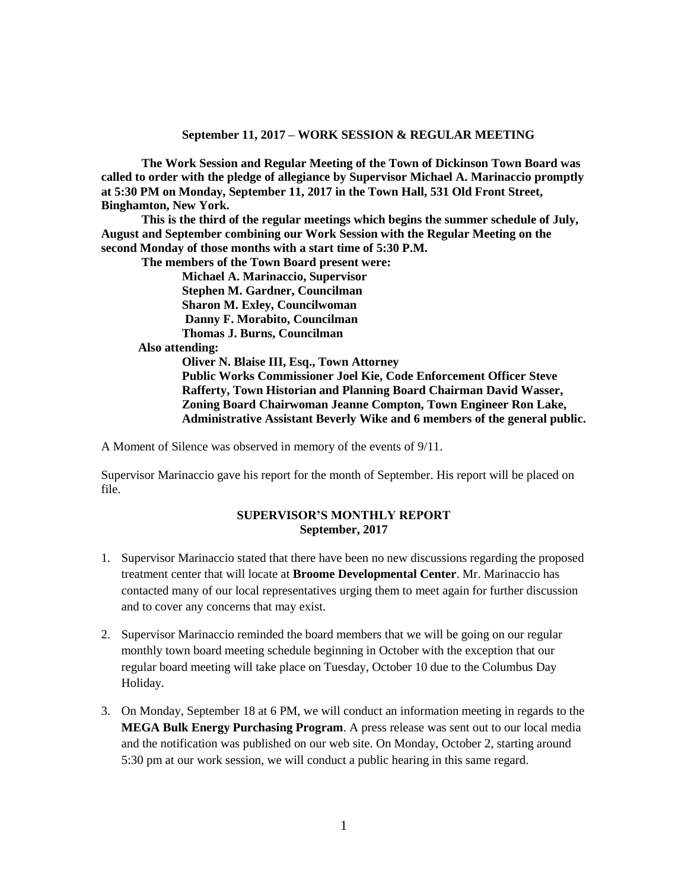**The Work Session and Regular Meeting of the Town of Dickinson Town Board was called to order with the pledge of allegiance by Supervisor Michael A. Marinaccio promptly at 5:30 PM on Monday, September 11, 2017 in the Town Hall, 531 Old Front Street, Binghamton, New York.** 

**This is the third of the regular meetings which begins the summer schedule of July, August and September combining our Work Session with the Regular Meeting on the second Monday of those months with a start time of 5:30 P.M.**

**The members of the Town Board present were:**

**Michael A. Marinaccio, Supervisor Stephen M. Gardner, Councilman Sharon M. Exley, Councilwoman Danny F. Morabito, Councilman Thomas J. Burns, Councilman**

 **Also attending:**

**Oliver N. Blaise III, Esq., Town Attorney Public Works Commissioner Joel Kie, Code Enforcement Officer Steve Rafferty, Town Historian and Planning Board Chairman David Wasser, Zoning Board Chairwoman Jeanne Compton, Town Engineer Ron Lake, Administrative Assistant Beverly Wike and 6 members of the general public.**

A Moment of Silence was observed in memory of the events of 9/11.

Supervisor Marinaccio gave his report for the month of September. His report will be placed on file.

## **SUPERVISOR'S MONTHLY REPORT September, 2017**

- 1. Supervisor Marinaccio stated that there have been no new discussions regarding the proposed treatment center that will locate at **Broome Developmental Center**. Mr. Marinaccio has contacted many of our local representatives urging them to meet again for further discussion and to cover any concerns that may exist.
- 2. Supervisor Marinaccio reminded the board members that we will be going on our regular monthly town board meeting schedule beginning in October with the exception that our regular board meeting will take place on Tuesday, October 10 due to the Columbus Day Holiday.
- 3. On Monday, September 18 at 6 PM, we will conduct an information meeting in regards to the **MEGA Bulk Energy Purchasing Program**. A press release was sent out to our local media and the notification was published on our web site. On Monday, October 2, starting around 5:30 pm at our work session, we will conduct a public hearing in this same regard.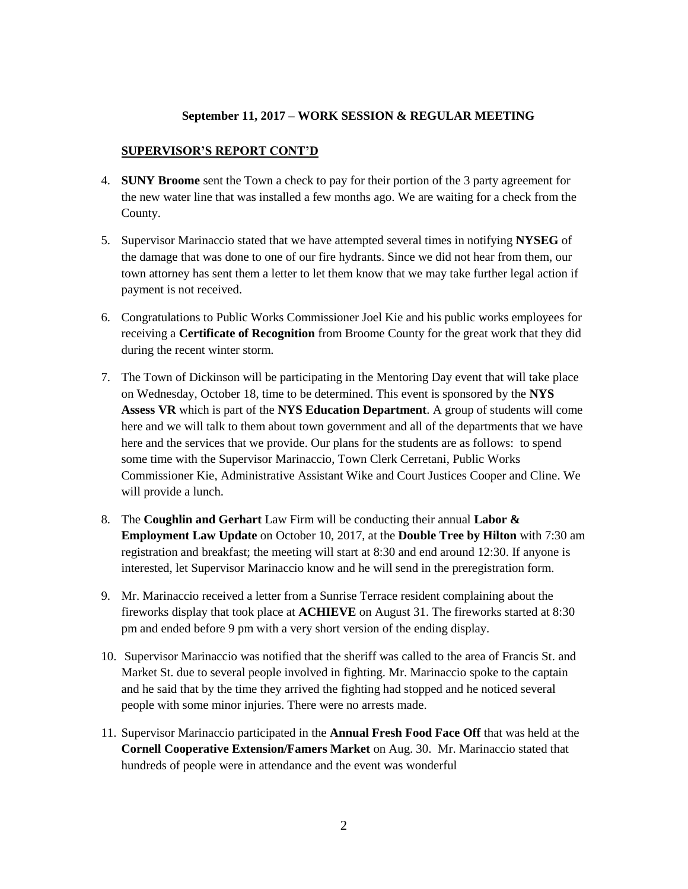## **SUPERVISOR'S REPORT CONT'D**

- 4. **SUNY Broome** sent the Town a check to pay for their portion of the 3 party agreement for the new water line that was installed a few months ago. We are waiting for a check from the County.
- 5. Supervisor Marinaccio stated that we have attempted several times in notifying **NYSEG** of the damage that was done to one of our fire hydrants. Since we did not hear from them, our town attorney has sent them a letter to let them know that we may take further legal action if payment is not received.
- 6. Congratulations to Public Works Commissioner Joel Kie and his public works employees for receiving a **Certificate of Recognition** from Broome County for the great work that they did during the recent winter storm.
- 7. The Town of Dickinson will be participating in the Mentoring Day event that will take place on Wednesday, October 18, time to be determined. This event is sponsored by the **NYS Assess VR** which is part of the **NYS Education Department**. A group of students will come here and we will talk to them about town government and all of the departments that we have here and the services that we provide. Our plans for the students are as follows: to spend some time with the Supervisor Marinaccio, Town Clerk Cerretani, Public Works Commissioner Kie, Administrative Assistant Wike and Court Justices Cooper and Cline. We will provide a lunch.
- 8. The **Coughlin and Gerhart** Law Firm will be conducting their annual **Labor & Employment Law Update** on October 10, 2017, at the **Double Tree by Hilton** with 7:30 am registration and breakfast; the meeting will start at 8:30 and end around 12:30. If anyone is interested, let Supervisor Marinaccio know and he will send in the preregistration form.
- 9. Mr. Marinaccio received a letter from a Sunrise Terrace resident complaining about the fireworks display that took place at **ACHIEVE** on August 31. The fireworks started at 8:30 pm and ended before 9 pm with a very short version of the ending display.
- 10. Supervisor Marinaccio was notified that the sheriff was called to the area of Francis St. and Market St. due to several people involved in fighting. Mr. Marinaccio spoke to the captain and he said that by the time they arrived the fighting had stopped and he noticed several people with some minor injuries. There were no arrests made.
- 11. Supervisor Marinaccio participated in the **Annual Fresh Food Face Off** that was held at the **Cornell Cooperative Extension/Famers Market** on Aug. 30. Mr. Marinaccio stated that hundreds of people were in attendance and the event was wonderful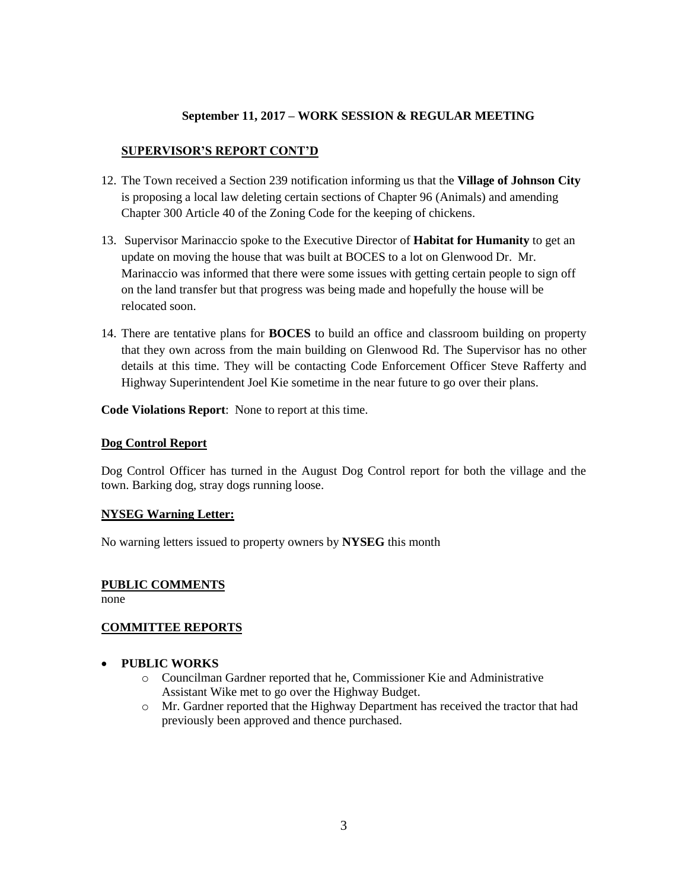# **SUPERVISOR'S REPORT CONT'D**

- 12. The Town received a Section 239 notification informing us that the **Village of Johnson City** is proposing a local law deleting certain sections of Chapter 96 (Animals) and amending Chapter 300 Article 40 of the Zoning Code for the keeping of chickens.
- 13. Supervisor Marinaccio spoke to the Executive Director of **Habitat for Humanity** to get an update on moving the house that was built at BOCES to a lot on Glenwood Dr. Mr. Marinaccio was informed that there were some issues with getting certain people to sign off on the land transfer but that progress was being made and hopefully the house will be relocated soon.
- 14. There are tentative plans for **BOCES** to build an office and classroom building on property that they own across from the main building on Glenwood Rd. The Supervisor has no other details at this time. They will be contacting Code Enforcement Officer Steve Rafferty and Highway Superintendent Joel Kie sometime in the near future to go over their plans.

**Code Violations Report**: None to report at this time.

## **Dog Control Report**

Dog Control Officer has turned in the August Dog Control report for both the village and the town. Barking dog, stray dogs running loose.

## **NYSEG Warning Letter:**

No warning letters issued to property owners by **NYSEG** this month

## **PUBLIC COMMENTS**

none

## **COMMITTEE REPORTS**

## **PUBLIC WORKS**

- o Councilman Gardner reported that he, Commissioner Kie and Administrative Assistant Wike met to go over the Highway Budget.
- o Mr. Gardner reported that the Highway Department has received the tractor that had previously been approved and thence purchased.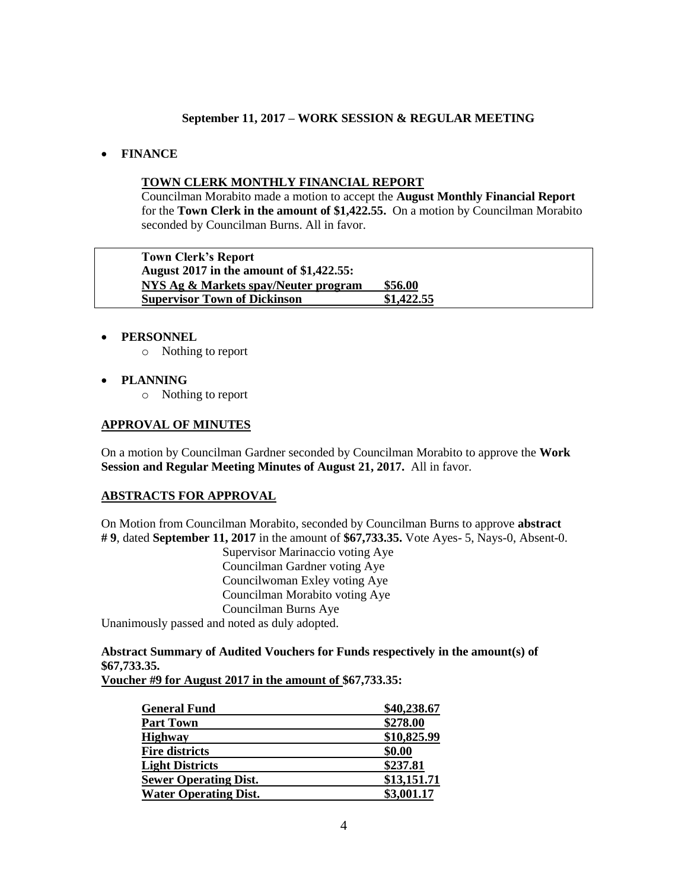## **FINANCE**

## **TOWN CLERK MONTHLY FINANCIAL REPORT**

Councilman Morabito made a motion to accept the **August Monthly Financial Report** for the **Town Clerk in the amount of \$1,422.55.** On a motion by Councilman Morabito seconded by Councilman Burns. All in favor.

**Town Clerk's Report August 2017 in the amount of \$1,422.55: NYS Ag & Markets spay/Neuter program \$56.00 Supervisor Town of Dickinson \$1,422.55**

## **PERSONNEL**

- o Nothing to report
- **PLANNING**
	- o Nothing to report

## **APPROVAL OF MINUTES**

On a motion by Councilman Gardner seconded by Councilman Morabito to approve the **Work Session and Regular Meeting Minutes of August 21, 2017.** All in favor.

## **ABSTRACTS FOR APPROVAL**

On Motion from Councilman Morabito, seconded by Councilman Burns to approve **abstract # 9**, dated **September 11, 2017** in the amount of **\$67,733.35.** Vote Ayes- 5, Nays-0, Absent-0.

Supervisor Marinaccio voting Aye Councilman Gardner voting Aye Councilwoman Exley voting Aye Councilman Morabito voting Aye Councilman Burns Aye

Unanimously passed and noted as duly adopted.

# **Abstract Summary of Audited Vouchers for Funds respectively in the amount(s) of \$67,733.35.**

**Voucher #9 for August 2017 in the amount of \$67,733.35:** 

| <b>General Fund</b>          | \$40,238.67 |
|------------------------------|-------------|
| <b>Part Town</b>             | \$278.00    |
| <b>Highway</b>               | \$10,825.99 |
| <b>Fire districts</b>        | \$0.00      |
| <b>Light Districts</b>       | \$237.81    |
| <b>Sewer Operating Dist.</b> | \$13,151.71 |
| <b>Water Operating Dist.</b> | \$3,001.17  |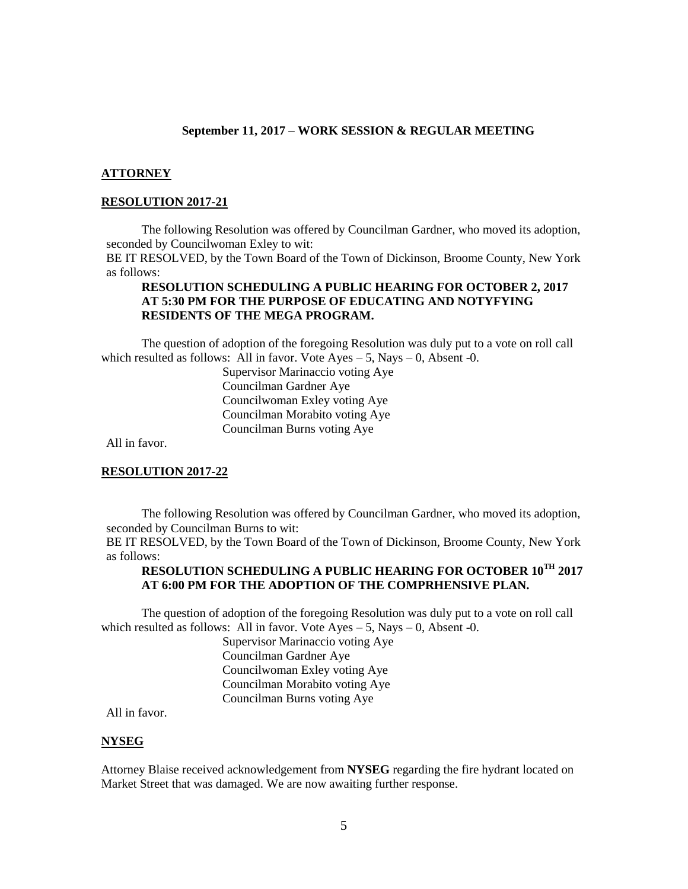### **ATTORNEY**

#### **RESOLUTION 2017-21**

The following Resolution was offered by Councilman Gardner, who moved its adoption, seconded by Councilwoman Exley to wit:

BE IT RESOLVED, by the Town Board of the Town of Dickinson, Broome County, New York as follows:

## **RESOLUTION SCHEDULING A PUBLIC HEARING FOR OCTOBER 2, 2017 AT 5:30 PM FOR THE PURPOSE OF EDUCATING AND NOTYFYING RESIDENTS OF THE MEGA PROGRAM.**

The question of adoption of the foregoing Resolution was duly put to a vote on roll call which resulted as follows: All in favor. Vote  $Ayes - 5$ , Nays  $- 0$ , Absent -0.

> Supervisor Marinaccio voting Aye Councilman Gardner Aye Councilwoman Exley voting Aye Councilman Morabito voting Aye Councilman Burns voting Aye

All in favor.

### **RESOLUTION 2017-22**

The following Resolution was offered by Councilman Gardner, who moved its adoption, seconded by Councilman Burns to wit:

BE IT RESOLVED, by the Town Board of the Town of Dickinson, Broome County, New York as follows:

## **RESOLUTION SCHEDULING A PUBLIC HEARING FOR OCTOBER 10TH 2017 AT 6:00 PM FOR THE ADOPTION OF THE COMPRHENSIVE PLAN.**

The question of adoption of the foregoing Resolution was duly put to a vote on roll call which resulted as follows: All in favor. Vote  $Ayes - 5$ , Nays  $- 0$ , Absent -0.

> Supervisor Marinaccio voting Aye Councilman Gardner Aye Councilwoman Exley voting Aye Councilman Morabito voting Aye Councilman Burns voting Aye

All in favor.

### **NYSEG**

Attorney Blaise received acknowledgement from **NYSEG** regarding the fire hydrant located on Market Street that was damaged. We are now awaiting further response.